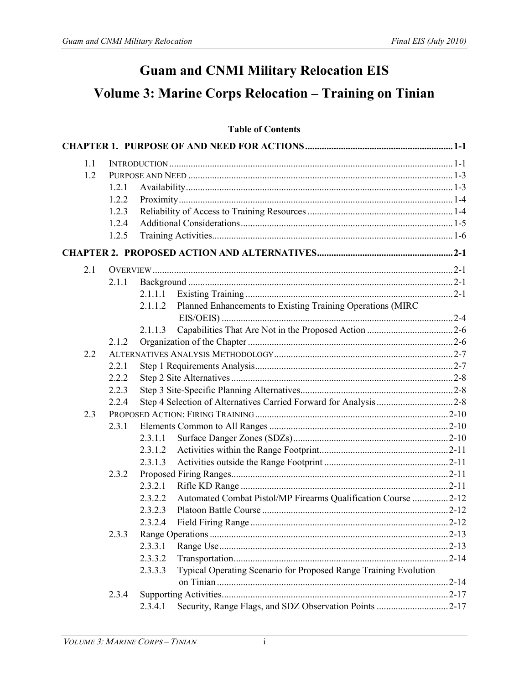# **Guam and CNMI Military Relocation EIS**

## **Volume 3: Marine Corps Relocation – Training on Tinian**

### **Table of Contents**

| 1.1 |       |         |                                                                  |           |
|-----|-------|---------|------------------------------------------------------------------|-----------|
| 1.2 |       |         |                                                                  |           |
|     | 1.2.1 |         |                                                                  |           |
|     | 1.2.2 |         |                                                                  |           |
|     | 1.2.3 |         |                                                                  |           |
|     | 1.2.4 |         |                                                                  |           |
|     | 1.2.5 |         |                                                                  |           |
|     |       |         |                                                                  |           |
| 2.1 |       |         |                                                                  |           |
|     | 2.1.1 |         |                                                                  |           |
|     |       | 2.1.1.1 |                                                                  |           |
|     |       | 2.1.1.2 | Planned Enhancements to Existing Training Operations (MIRC       |           |
|     |       | 2.1.1.3 |                                                                  |           |
|     | 2.1.2 |         |                                                                  |           |
| 2.2 |       |         |                                                                  |           |
|     | 2.2.1 |         |                                                                  |           |
|     | 2.2.2 |         |                                                                  |           |
|     | 2.2.3 |         |                                                                  |           |
|     | 2.2.4 |         |                                                                  |           |
| 2.3 |       |         |                                                                  |           |
|     | 2.3.1 |         |                                                                  |           |
|     |       | 2.3.1.1 |                                                                  |           |
|     |       | 2.3.1.2 |                                                                  |           |
|     |       | 2.3.1.3 |                                                                  |           |
|     | 2.3.2 |         |                                                                  |           |
|     |       | 2.3.2.1 |                                                                  |           |
|     |       | 2.3.2.2 | Automated Combat Pistol/MP Firearms Qualification Course 2-12    |           |
|     |       | 2.3.2.3 |                                                                  |           |
|     |       | 2.3.2.4 |                                                                  |           |
|     | 2.3.3 |         |                                                                  | $.2 - 13$ |
|     |       | 2.3.3.1 |                                                                  |           |
|     |       | 2.3.3.2 |                                                                  |           |
|     |       | 2.3.3.3 | Typical Operating Scenario for Proposed Range Training Evolution |           |
|     |       |         |                                                                  |           |
|     | 2.3.4 |         |                                                                  |           |
|     |       | 2.3.4.1 |                                                                  |           |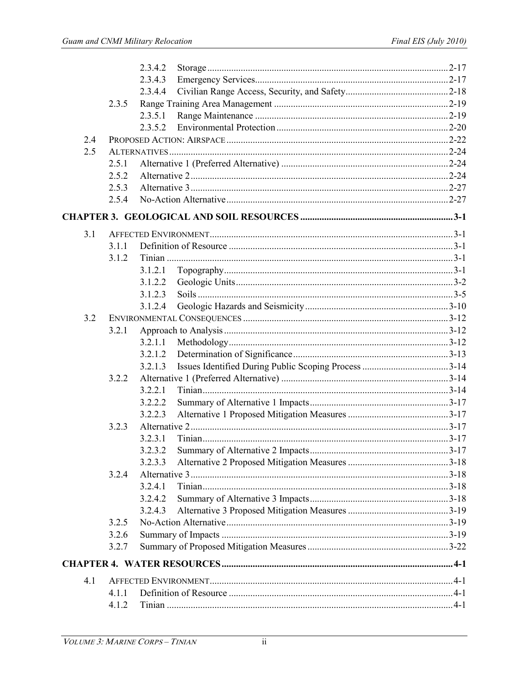|     |       | 2.3.4.2 |  |
|-----|-------|---------|--|
|     |       | 2.3.4.3 |  |
|     |       | 2.3.4.4 |  |
|     | 2.3.5 |         |  |
|     |       | 2.3.5.1 |  |
|     |       | 2.3.5.2 |  |
| 2.4 |       |         |  |
| 2.5 |       |         |  |
|     | 2.5.1 |         |  |
|     | 2.5.2 |         |  |
|     | 2.5.3 |         |  |
|     | 2.5.4 |         |  |
|     |       |         |  |
| 3.1 |       |         |  |
|     | 3.1.1 |         |  |
|     | 3.1.2 |         |  |
|     |       | 3.1.2.1 |  |
|     |       | 3.1.2.2 |  |
|     |       | 3.1.2.3 |  |
|     |       | 3.1.2.4 |  |
| 3.2 |       |         |  |
|     | 3.2.1 |         |  |
|     |       | 3.2.1.1 |  |
|     |       | 3.2.1.2 |  |
|     |       | 3.2.1.3 |  |
|     | 3.2.2 |         |  |
|     |       | 3.2.2.1 |  |
|     |       | 3.2.2.2 |  |
|     |       | 3.2.2.3 |  |
|     | 3.2.3 |         |  |
|     |       | 3.2.3.1 |  |
|     |       | 3.2.3.2 |  |
|     |       | 3.2.3.3 |  |
|     | 3.2.4 |         |  |
|     |       | 3241    |  |
|     |       | 3.2.4.2 |  |
|     |       | 3.2.4.3 |  |
|     | 3.2.5 |         |  |
|     | 3.2.6 |         |  |
|     | 3.2.7 |         |  |
|     |       |         |  |
| 4.1 |       |         |  |
|     | 4.1.1 |         |  |
|     | 4.1.2 |         |  |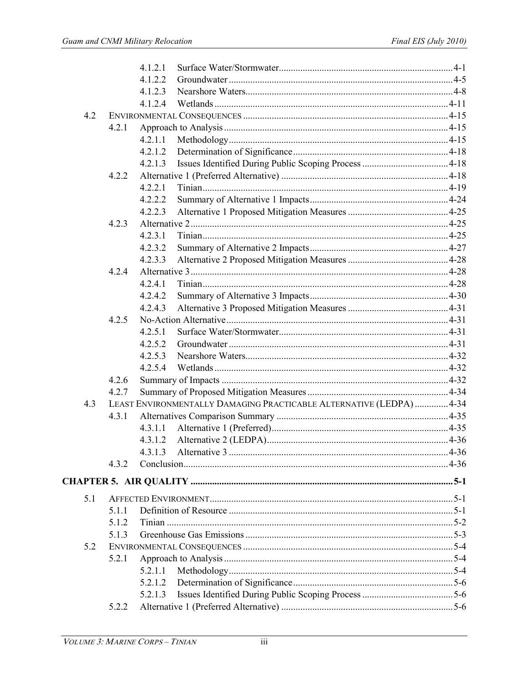|     |       | 4.1.2.1 |                                                                    |  |
|-----|-------|---------|--------------------------------------------------------------------|--|
|     |       | 4.1.2.2 |                                                                    |  |
|     |       | 4.1.2.3 |                                                                    |  |
|     |       | 4.1.2.4 |                                                                    |  |
| 4.2 |       |         |                                                                    |  |
|     | 4.2.1 |         |                                                                    |  |
|     |       | 4.2.1.1 |                                                                    |  |
|     |       | 4.2.1.2 |                                                                    |  |
|     |       |         |                                                                    |  |
|     | 4.2.2 |         |                                                                    |  |
|     |       | 4.2.2.1 |                                                                    |  |
|     |       | 4.2.2.2 |                                                                    |  |
|     |       | 4.2.2.3 |                                                                    |  |
|     | 4.2.3 |         |                                                                    |  |
|     |       | 4.2.3.1 |                                                                    |  |
|     |       | 4.2.3.2 |                                                                    |  |
|     |       | 4.2.3.3 |                                                                    |  |
|     | 4.2.4 |         |                                                                    |  |
|     |       | 4.2.4.1 |                                                                    |  |
|     |       | 4.2.4.2 |                                                                    |  |
|     |       | 4.2.4.3 |                                                                    |  |
|     | 4.2.5 |         |                                                                    |  |
|     |       | 4.2.5.1 |                                                                    |  |
|     |       | 4.2.5.2 |                                                                    |  |
|     |       | 4.2.5.3 |                                                                    |  |
|     |       | 4.2.5.4 |                                                                    |  |
|     | 4.2.6 |         |                                                                    |  |
|     | 4.2.7 |         |                                                                    |  |
| 4.3 |       |         | LEAST ENVIRONMENTALLY DAMAGING PRACTICABLE ALTERNATIVE (LEDPA)4-34 |  |
|     | 4.3.1 |         |                                                                    |  |
|     |       | 4.3.1.1 |                                                                    |  |
|     |       | 4.3.1.2 |                                                                    |  |
|     |       | 4.3.1.3 |                                                                    |  |
|     | 4.3.2 |         |                                                                    |  |
|     |       |         |                                                                    |  |
|     |       |         |                                                                    |  |
| 5.1 |       |         |                                                                    |  |
|     | 5.1.1 |         |                                                                    |  |
|     | 5.1.2 |         |                                                                    |  |
|     | 5.1.3 |         |                                                                    |  |
| 5.2 |       |         |                                                                    |  |
|     | 5.2.1 |         |                                                                    |  |
|     |       |         |                                                                    |  |
|     |       | 5.2.1.2 |                                                                    |  |
|     |       | 5.2.1.3 |                                                                    |  |
|     | 5.2.2 |         |                                                                    |  |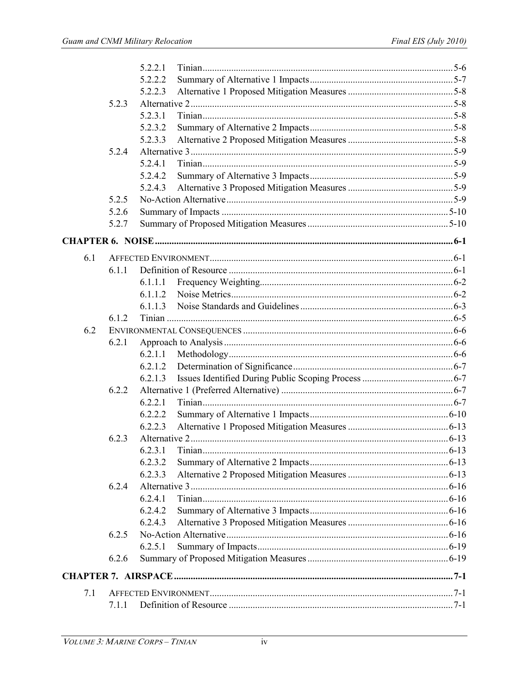|     |       | 5221    |  |
|-----|-------|---------|--|
|     |       | 5.2.2.2 |  |
|     |       | 5.2.2.3 |  |
|     | 5.2.3 |         |  |
|     |       | 5.2.3.1 |  |
|     |       | 5.2.3.2 |  |
|     |       | 5.2.3.3 |  |
|     | 5.2.4 |         |  |
|     |       | 5.2.4.1 |  |
|     |       | 5.2.4.2 |  |
|     |       | 5.2.4.3 |  |
|     | 5.2.5 |         |  |
|     | 5.2.6 |         |  |
|     | 5.2.7 |         |  |
|     |       |         |  |
| 6.1 |       |         |  |
|     | 6.1.1 |         |  |
|     |       | 6.1.1.1 |  |
|     |       | 6.1.1.2 |  |
|     |       | 6.1.1.3 |  |
|     | 6.1.2 |         |  |
| 6.2 |       |         |  |
|     | 6.2.1 |         |  |
|     |       | 6.2.1.1 |  |
|     |       | 6.2.1.2 |  |
|     |       | 6.2.1.3 |  |
|     | 6.2.2 |         |  |
|     |       | 6.2.2.1 |  |
|     |       | 6.2.2.2 |  |
|     |       | 6.2.2.3 |  |
|     | 6.2.3 |         |  |
|     |       | 6231    |  |
|     |       | 6.2.3.2 |  |
|     |       | 6.2.3.3 |  |
|     | 6.2.4 |         |  |
|     |       | 6.2.4.1 |  |
|     |       | 6.2.4.2 |  |
|     |       | 6.2.4.3 |  |
|     | 6.2.5 |         |  |
|     |       | 6.2.5.1 |  |
|     | 6.2.6 |         |  |
|     |       |         |  |
| 7.1 |       |         |  |
|     | 7.1.1 |         |  |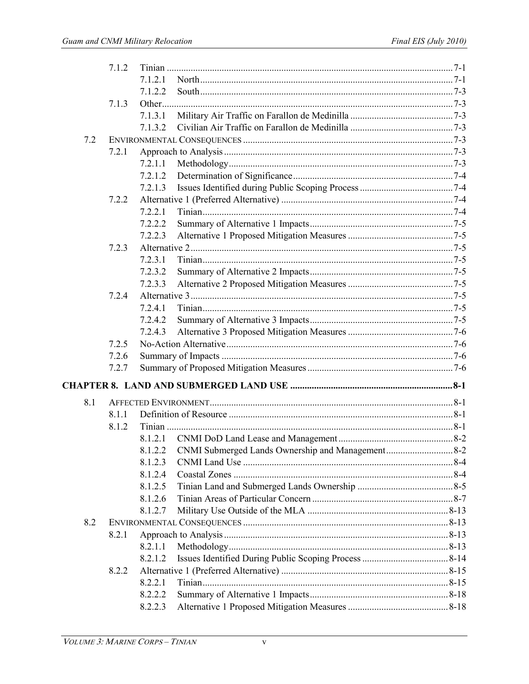|     | 7.1.2 |                                                             |  |
|-----|-------|-------------------------------------------------------------|--|
|     |       | 7.1.2.1                                                     |  |
|     |       | 7.1.2.2                                                     |  |
|     | 7.1.3 |                                                             |  |
|     |       | 7.1.3.1                                                     |  |
|     |       | 7.1.3.2                                                     |  |
| 7.2 |       |                                                             |  |
|     | 7.2.1 |                                                             |  |
|     |       | 7.2.1.1                                                     |  |
|     |       | 7.2.1.2                                                     |  |
|     |       | 7.2.1.3                                                     |  |
|     | 7.2.2 |                                                             |  |
|     |       | 7.2.2.1                                                     |  |
|     |       | 7.2.2.2                                                     |  |
|     |       | 7.2.2.3                                                     |  |
|     | 7.2.3 |                                                             |  |
|     |       | 7.2.3.1                                                     |  |
|     |       | 7.2.3.2                                                     |  |
|     |       | 7.2.3.3                                                     |  |
|     | 7.2.4 |                                                             |  |
|     |       | 7.2.4.1                                                     |  |
|     |       | 7.2.4.2                                                     |  |
|     |       | 7.2.4.3                                                     |  |
|     | 7.2.5 |                                                             |  |
|     | 7.2.6 |                                                             |  |
|     | 7.2.7 |                                                             |  |
|     |       |                                                             |  |
|     |       |                                                             |  |
| 8.1 |       |                                                             |  |
|     | 8.1.1 |                                                             |  |
|     | 8.1.2 |                                                             |  |
|     |       |                                                             |  |
|     |       | CNMI Submerged Lands Ownership and Management8-2<br>8.1.2.2 |  |
|     |       | 8.1.2.3                                                     |  |
|     |       | 8.1.2.4                                                     |  |
|     |       | 8.1.2.5                                                     |  |
|     |       | 8.1.2.6                                                     |  |
|     |       | 8.1.2.7                                                     |  |
| 8.2 |       |                                                             |  |
|     | 8.2.1 |                                                             |  |
|     |       | 8.2.1.1                                                     |  |
|     |       | 8.2.1.2                                                     |  |
|     | 8.2.2 |                                                             |  |
|     |       | 8.2.2.1                                                     |  |
|     |       | 8.2.2.2                                                     |  |
|     |       | 8.2.2.3                                                     |  |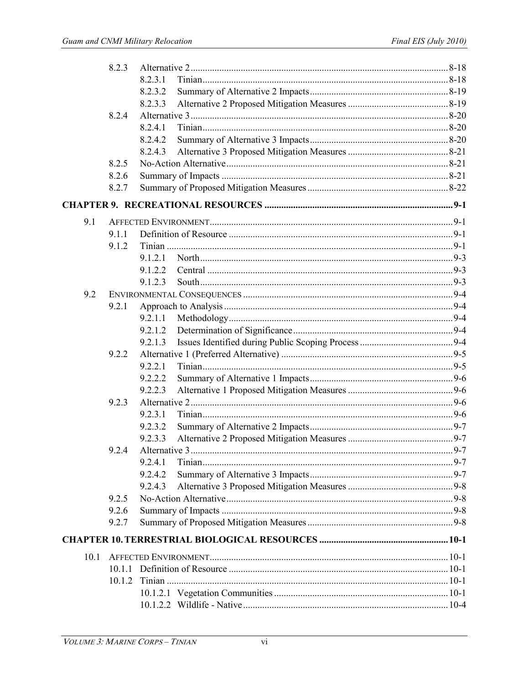|      | 8.2.3  |         |  |
|------|--------|---------|--|
|      |        | 8.2.3.1 |  |
|      |        | 8.2.3.2 |  |
|      |        | 8.2.3.3 |  |
|      | 8.2.4  |         |  |
|      |        | 8.2.4.1 |  |
|      |        | 8.2.4.2 |  |
|      |        | 8.2.4.3 |  |
|      | 8.2.5  |         |  |
|      | 8.2.6  |         |  |
|      | 8.2.7  |         |  |
|      |        |         |  |
| 9.1  |        |         |  |
|      | 9.1.1  |         |  |
|      | 9.1.2  |         |  |
|      |        | 9.1.2.1 |  |
|      |        | 9.1.2.2 |  |
|      |        | 9.1.2.3 |  |
| 9.2  |        |         |  |
|      | 9.2.1  |         |  |
|      |        | 9.2.1.1 |  |
|      |        | 9.2.1.2 |  |
|      |        | 9.2.1.3 |  |
|      | 9.2.2  |         |  |
|      |        | 9.2.2.1 |  |
|      |        | 9.2.2.2 |  |
|      |        | 9.2.2.3 |  |
|      | 9.2.3  |         |  |
|      |        | 9.2.3.1 |  |
|      |        | 9.2.3.2 |  |
|      |        | 9.2.3.3 |  |
|      | 9.2.4  |         |  |
|      |        | 9.2.4.1 |  |
|      |        | 9.2.4.2 |  |
|      |        | 9.2.4.3 |  |
|      | 9.2.5  |         |  |
|      | 9.2.6  |         |  |
|      | 9.2.7  |         |  |
|      |        |         |  |
| 10.1 |        |         |  |
|      |        |         |  |
|      | 10.1.2 |         |  |
|      |        |         |  |
|      |        |         |  |
|      |        |         |  |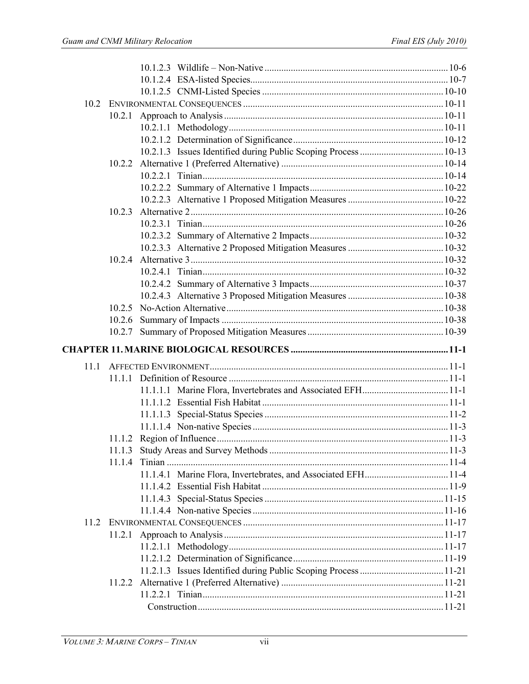|      | 10.2.1 |  |
|------|--------|--|
|      |        |  |
|      |        |  |
|      |        |  |
|      | 10.2.2 |  |
|      |        |  |
|      |        |  |
|      |        |  |
|      | 10.2.3 |  |
|      |        |  |
|      |        |  |
|      |        |  |
|      | 10.2.4 |  |
|      |        |  |
|      |        |  |
|      |        |  |
|      |        |  |
|      |        |  |
|      |        |  |
|      |        |  |
|      |        |  |
| 11.1 |        |  |
|      |        |  |
|      |        |  |
|      |        |  |
|      |        |  |
|      |        |  |
|      |        |  |
|      |        |  |
|      |        |  |
|      |        |  |
|      |        |  |
|      |        |  |
|      |        |  |
| 11.2 |        |  |
|      |        |  |
|      |        |  |
|      |        |  |
|      |        |  |
|      |        |  |
|      |        |  |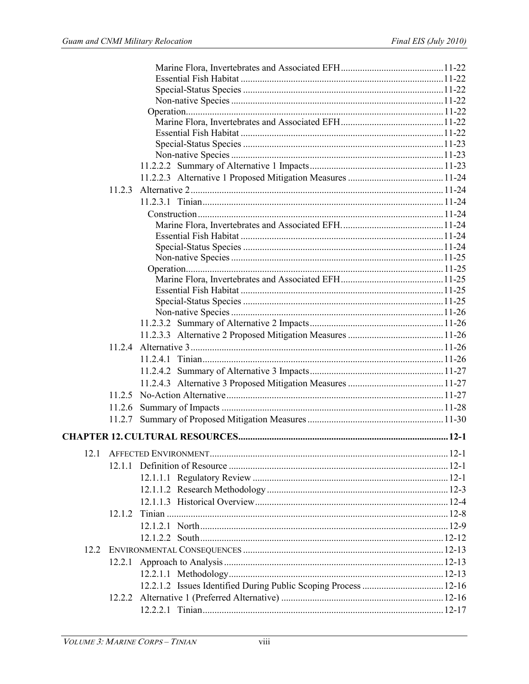|      | 11.2.3 |  |
|------|--------|--|
|      |        |  |
|      |        |  |
|      |        |  |
|      |        |  |
|      |        |  |
|      |        |  |
|      |        |  |
|      |        |  |
|      |        |  |
|      |        |  |
|      |        |  |
|      |        |  |
|      |        |  |
|      |        |  |
|      |        |  |
|      |        |  |
|      |        |  |
|      |        |  |
|      |        |  |
|      |        |  |
|      |        |  |
| 12.1 |        |  |
|      |        |  |
|      |        |  |
|      |        |  |
|      |        |  |
|      | 1212   |  |
|      |        |  |
|      |        |  |
| 12.2 |        |  |
|      |        |  |
|      |        |  |
|      |        |  |
|      |        |  |
|      |        |  |
|      |        |  |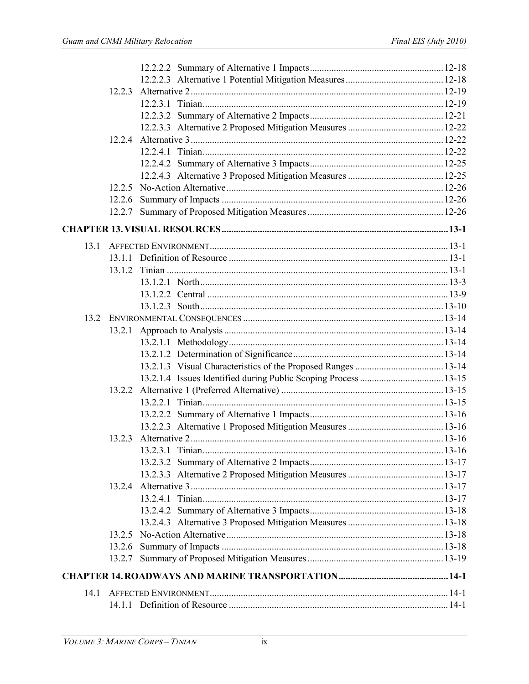|      | 12.2.4 |  |
|------|--------|--|
|      |        |  |
|      |        |  |
|      |        |  |
|      |        |  |
|      |        |  |
|      |        |  |
|      |        |  |
| 13.1 |        |  |
|      |        |  |
|      | 13.1.2 |  |
|      |        |  |
|      |        |  |
|      |        |  |
|      |        |  |
|      |        |  |
|      |        |  |
|      |        |  |
|      |        |  |
|      |        |  |
|      |        |  |
|      |        |  |
|      |        |  |
|      |        |  |
|      |        |  |
|      |        |  |
|      |        |  |
|      |        |  |
|      |        |  |
|      |        |  |
|      |        |  |
|      |        |  |
|      |        |  |
|      |        |  |
|      |        |  |
|      |        |  |
| 14.1 |        |  |
|      |        |  |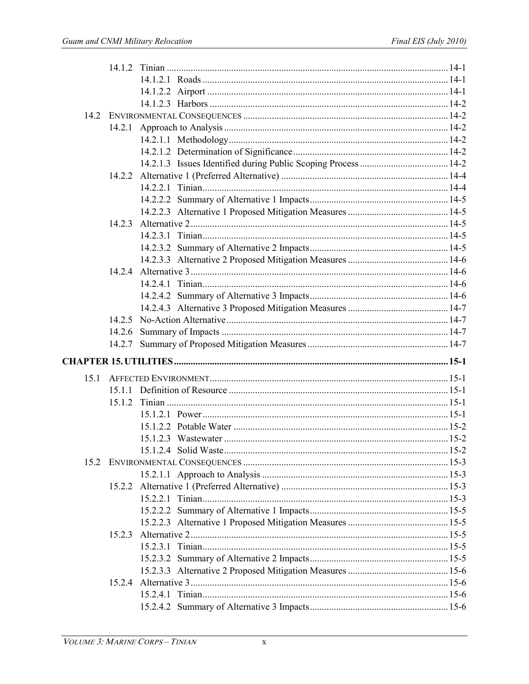|      | 14.2.6 |  |
|------|--------|--|
|      |        |  |
|      |        |  |
| 15.1 |        |  |
|      |        |  |
|      |        |  |
|      |        |  |
|      |        |  |
|      |        |  |
|      |        |  |
|      |        |  |
|      |        |  |
|      |        |  |
|      |        |  |
|      |        |  |
|      |        |  |
|      | 1523   |  |
|      |        |  |
|      |        |  |
|      |        |  |
|      |        |  |
|      |        |  |
|      |        |  |
|      |        |  |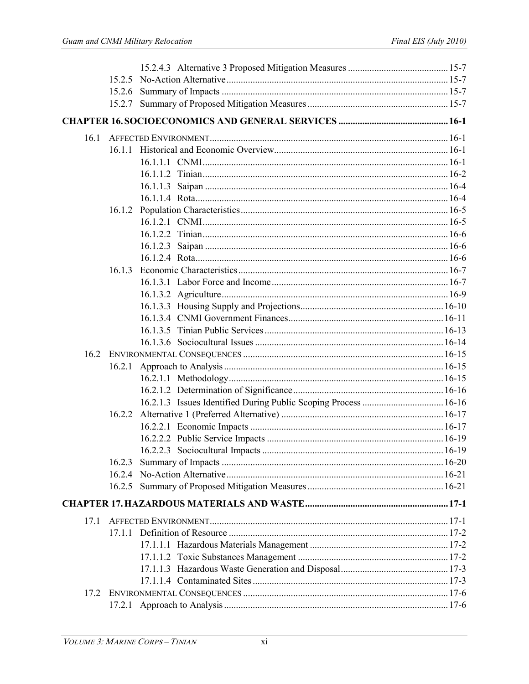| 16.1 |        |  |
|------|--------|--|
|      |        |  |
|      |        |  |
|      |        |  |
|      |        |  |
|      |        |  |
|      |        |  |
|      |        |  |
|      |        |  |
|      |        |  |
|      |        |  |
|      | 16.1.3 |  |
|      |        |  |
|      |        |  |
|      |        |  |
|      |        |  |
|      |        |  |
|      |        |  |
|      |        |  |
|      |        |  |
|      |        |  |
|      |        |  |
|      |        |  |
|      | 16.2.2 |  |
|      |        |  |
|      |        |  |
|      |        |  |
|      | 16.2.3 |  |
|      |        |  |
|      |        |  |
|      |        |  |
| 17.1 |        |  |
|      |        |  |
|      |        |  |
|      |        |  |
|      |        |  |
|      |        |  |
| 17.2 |        |  |
|      |        |  |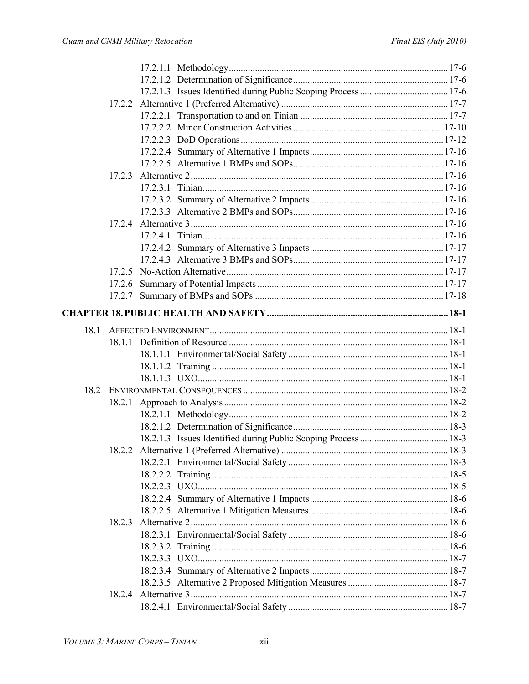|      | 17.2.3 |  |
|------|--------|--|
|      |        |  |
|      |        |  |
|      |        |  |
|      |        |  |
|      |        |  |
|      |        |  |
|      |        |  |
|      |        |  |
|      |        |  |
|      | 17.2.7 |  |
|      |        |  |
| 18.1 |        |  |
|      |        |  |
|      |        |  |
|      |        |  |
|      |        |  |
| 18.2 |        |  |
|      |        |  |
|      |        |  |
|      |        |  |
|      |        |  |
|      |        |  |
|      |        |  |
|      |        |  |
|      |        |  |
|      |        |  |
|      |        |  |
|      | 18.2.3 |  |
|      |        |  |
|      |        |  |
|      |        |  |
|      |        |  |
|      |        |  |
|      |        |  |
|      |        |  |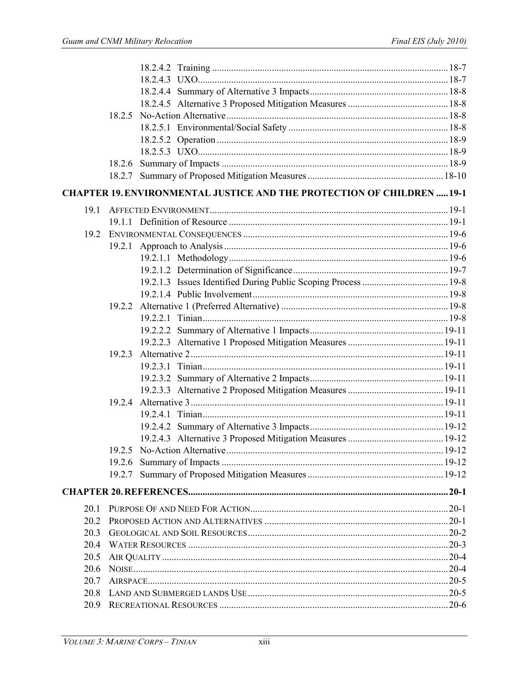|              | 18.2.7                                                                        |  |
|--------------|-------------------------------------------------------------------------------|--|
|              | <b>CHAPTER 19. ENVIRONMENTAL JUSTICE AND THE PROTECTION OF CHILDREN  19-1</b> |  |
| 19.1         |                                                                               |  |
|              |                                                                               |  |
| 19.2         |                                                                               |  |
|              |                                                                               |  |
|              |                                                                               |  |
|              |                                                                               |  |
|              |                                                                               |  |
|              |                                                                               |  |
|              |                                                                               |  |
|              |                                                                               |  |
|              |                                                                               |  |
|              |                                                                               |  |
|              | 19.2.3                                                                        |  |
|              |                                                                               |  |
|              |                                                                               |  |
|              |                                                                               |  |
|              | 19.2.4                                                                        |  |
|              |                                                                               |  |
|              |                                                                               |  |
|              |                                                                               |  |
|              |                                                                               |  |
|              | 19.2.6                                                                        |  |
|              |                                                                               |  |
|              |                                                                               |  |
| 20.1         |                                                                               |  |
| 20.2         |                                                                               |  |
| 20.3         |                                                                               |  |
| 20.4         |                                                                               |  |
| 20.5         |                                                                               |  |
| 20.6         |                                                                               |  |
|              |                                                                               |  |
| 20.7<br>20.8 |                                                                               |  |
|              |                                                                               |  |
| 20.9         |                                                                               |  |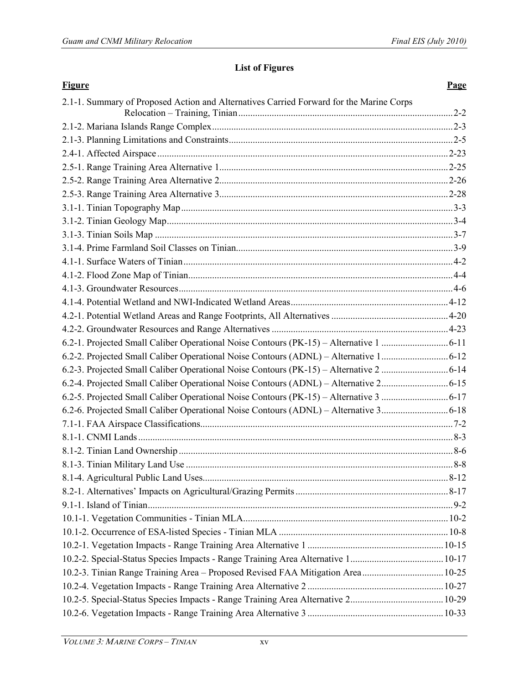### **List of Figures**

| <b>Figure</b>                                                                           | <b>Page</b> |
|-----------------------------------------------------------------------------------------|-------------|
| 2.1-1. Summary of Proposed Action and Alternatives Carried Forward for the Marine Corps |             |
|                                                                                         |             |
|                                                                                         |             |
|                                                                                         |             |
|                                                                                         |             |
|                                                                                         |             |
|                                                                                         |             |
|                                                                                         |             |
|                                                                                         |             |
|                                                                                         |             |
|                                                                                         |             |
|                                                                                         |             |
|                                                                                         |             |
|                                                                                         |             |
|                                                                                         |             |
|                                                                                         |             |
|                                                                                         |             |
|                                                                                         |             |
|                                                                                         |             |
|                                                                                         |             |
|                                                                                         |             |
| 6.2-4. Projected Small Caliber Operational Noise Contours (ADNL) - Alternative 26-15    |             |
|                                                                                         |             |
|                                                                                         |             |
|                                                                                         |             |
|                                                                                         |             |
|                                                                                         |             |
|                                                                                         |             |
|                                                                                         |             |
|                                                                                         |             |
|                                                                                         |             |
|                                                                                         |             |
|                                                                                         |             |
|                                                                                         |             |
|                                                                                         |             |
| 10.2-3. Tinian Range Training Area - Proposed Revised FAA Mitigation Area 10-25         |             |
|                                                                                         |             |
|                                                                                         |             |
|                                                                                         |             |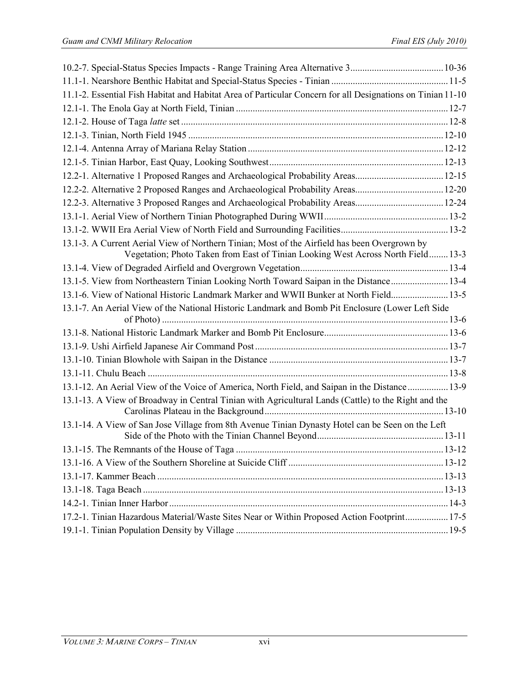| 11.1-2. Essential Fish Habitat and Habitat Area of Particular Concern for all Designations on Tinian 11-10                                                                       |  |
|----------------------------------------------------------------------------------------------------------------------------------------------------------------------------------|--|
|                                                                                                                                                                                  |  |
|                                                                                                                                                                                  |  |
|                                                                                                                                                                                  |  |
|                                                                                                                                                                                  |  |
|                                                                                                                                                                                  |  |
| 12.2-1. Alternative 1 Proposed Ranges and Archaeological Probability Areas12-15                                                                                                  |  |
|                                                                                                                                                                                  |  |
| 12.2-3. Alternative 3 Proposed Ranges and Archaeological Probability Areas 12-24                                                                                                 |  |
|                                                                                                                                                                                  |  |
|                                                                                                                                                                                  |  |
| 13.1-3. A Current Aerial View of Northern Tinian; Most of the Airfield has been Overgrown by<br>Vegetation; Photo Taken from East of Tinian Looking West Across North Field 13-3 |  |
|                                                                                                                                                                                  |  |
| 13.1-5. View from Northeastern Tinian Looking North Toward Saipan in the Distance 13-4                                                                                           |  |
| 13.1-6. View of National Historic Landmark Marker and WWII Bunker at North Field 13-5                                                                                            |  |
| 13.1-7. An Aerial View of the National Historic Landmark and Bomb Pit Enclosure (Lower Left Side                                                                                 |  |
|                                                                                                                                                                                  |  |
|                                                                                                                                                                                  |  |
|                                                                                                                                                                                  |  |
|                                                                                                                                                                                  |  |
|                                                                                                                                                                                  |  |
| 13.1-12. An Aerial View of the Voice of America, North Field, and Saipan in the Distance 13-9                                                                                    |  |
| 13.1-13. A View of Broadway in Central Tinian with Agricultural Lands (Cattle) to the Right and the                                                                              |  |
| 13.1-14. A View of San Jose Village from 8th Avenue Tinian Dynasty Hotel can be Seen on the Left                                                                                 |  |
|                                                                                                                                                                                  |  |
|                                                                                                                                                                                  |  |
|                                                                                                                                                                                  |  |
|                                                                                                                                                                                  |  |
|                                                                                                                                                                                  |  |
| 17.2-1. Tinian Hazardous Material/Waste Sites Near or Within Proposed Action Footprint 17-5                                                                                      |  |
|                                                                                                                                                                                  |  |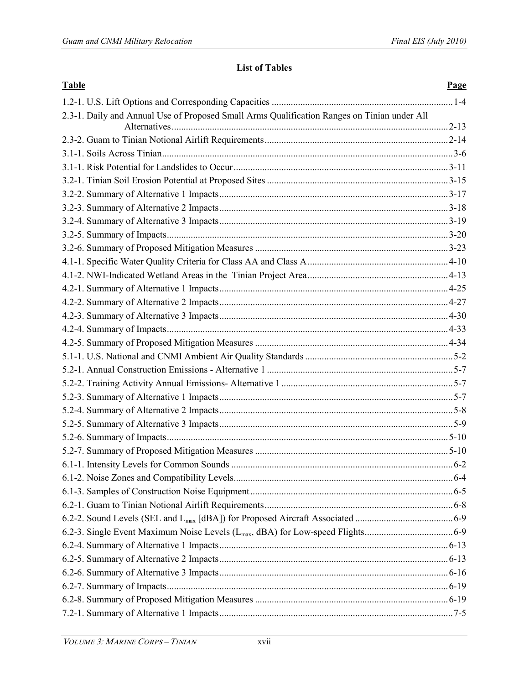#### **List of Tables**

| <b>Table</b>                                                                                | Page |
|---------------------------------------------------------------------------------------------|------|
|                                                                                             |      |
| 2.3-1. Daily and Annual Use of Proposed Small Arms Qualification Ranges on Tinian under All |      |
|                                                                                             |      |
|                                                                                             |      |
|                                                                                             |      |
|                                                                                             |      |
|                                                                                             |      |
|                                                                                             |      |
|                                                                                             |      |
|                                                                                             |      |
|                                                                                             |      |
|                                                                                             |      |
|                                                                                             |      |
|                                                                                             |      |
|                                                                                             |      |
|                                                                                             |      |
|                                                                                             |      |
|                                                                                             |      |
|                                                                                             |      |
|                                                                                             |      |
|                                                                                             |      |
|                                                                                             |      |
|                                                                                             |      |
|                                                                                             |      |
|                                                                                             |      |
|                                                                                             |      |
|                                                                                             |      |
|                                                                                             |      |
|                                                                                             |      |
|                                                                                             |      |
|                                                                                             |      |
|                                                                                             |      |
|                                                                                             |      |
|                                                                                             |      |
|                                                                                             |      |
|                                                                                             |      |
|                                                                                             |      |
|                                                                                             |      |
|                                                                                             |      |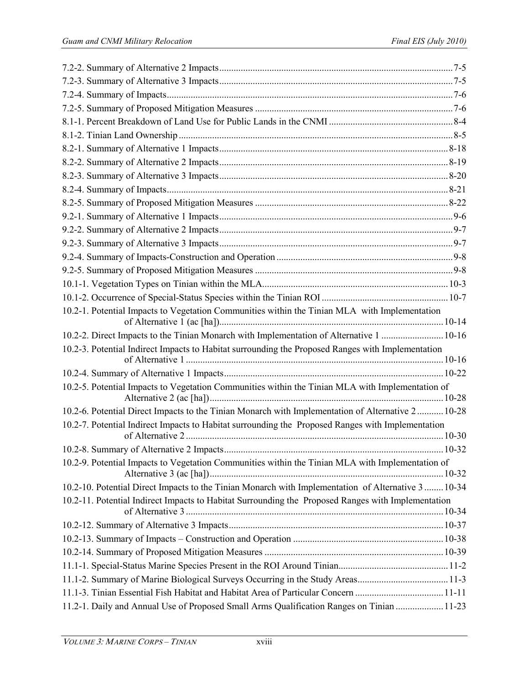| 10.2-1. Potential Impacts to Vegetation Communities within the Tinian MLA with Implementation                                                                                                          |  |
|--------------------------------------------------------------------------------------------------------------------------------------------------------------------------------------------------------|--|
|                                                                                                                                                                                                        |  |
| 10.2-2. Direct Impacts to the Tinian Monarch with Implementation of Alternative 1  10-16                                                                                                               |  |
| 10.2-3. Potential Indirect Impacts to Habitat surrounding the Proposed Ranges with Implementation                                                                                                      |  |
|                                                                                                                                                                                                        |  |
| 10.2-5. Potential Impacts to Vegetation Communities within the Tinian MLA with Implementation of                                                                                                       |  |
|                                                                                                                                                                                                        |  |
| 10.2-6. Potential Direct Impacts to the Tinian Monarch with Implementation of Alternative 2 10-28<br>10.2-7. Potential Indirect Impacts to Habitat surrounding the Proposed Ranges with Implementation |  |
|                                                                                                                                                                                                        |  |
|                                                                                                                                                                                                        |  |
| 10.2-9. Potential Impacts to Vegetation Communities within the Tinian MLA with Implementation of                                                                                                       |  |
|                                                                                                                                                                                                        |  |
| 10.2-10. Potential Direct Impacts to the Tinian Monarch with Implementation of Alternative 3  10-34                                                                                                    |  |
| 10.2-11. Potential Indirect Impacts to Habitat Surrounding the Proposed Ranges with Implementation                                                                                                     |  |
|                                                                                                                                                                                                        |  |
|                                                                                                                                                                                                        |  |
|                                                                                                                                                                                                        |  |
|                                                                                                                                                                                                        |  |
|                                                                                                                                                                                                        |  |
|                                                                                                                                                                                                        |  |
| 11.2-1. Daily and Annual Use of Proposed Small Arms Qualification Ranges on Tinian  11-23                                                                                                              |  |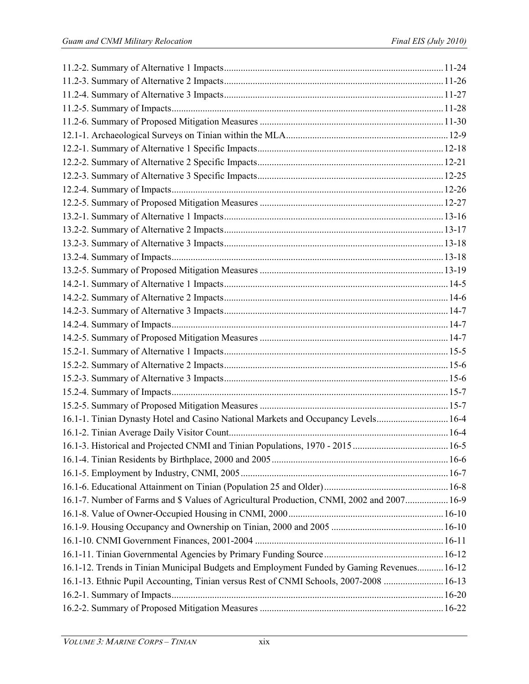| 16.1-1. Tinian Dynasty Hotel and Casino National Markets and Occupancy Levels 16-4         |  |
|--------------------------------------------------------------------------------------------|--|
|                                                                                            |  |
|                                                                                            |  |
|                                                                                            |  |
|                                                                                            |  |
|                                                                                            |  |
| 16.1-7. Number of Farms and \$ Values of Agricultural Production, CNMI, 2002 and 2007 16-9 |  |
|                                                                                            |  |
|                                                                                            |  |
|                                                                                            |  |
|                                                                                            |  |
| 16.1-12. Trends in Tinian Municipal Budgets and Employment Funded by Gaming Revenues 16-12 |  |
| 16.1-13. Ethnic Pupil Accounting, Tinian versus Rest of CNMI Schools, 2007-2008  16-13     |  |
|                                                                                            |  |
|                                                                                            |  |